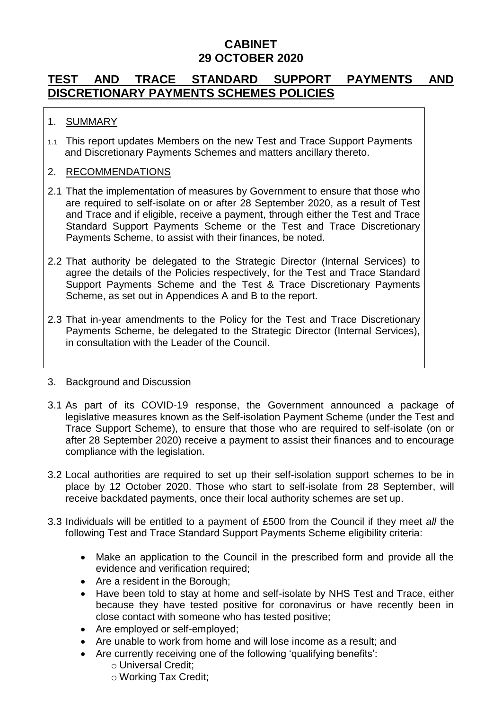### **CABINET 29 OCTOBER 2020**

# **TEST AND TRACE STANDARD SUPPORT PAYMENTS AND DISCRETIONARY PAYMENTS SCHEMES POLICIES**

#### 1. SUMMARY

1.1 This report updates Members on the new Test and Trace Support Payments and Discretionary Payments Schemes and matters ancillary thereto.

#### 2. RECOMMENDATIONS

- 2.1 That the implementation of measures by Government to ensure that those who are required to self-isolate on or after 28 September 2020, as a result of Test and Trace and if eligible, receive a payment, through either the Test and Trace Standard Support Payments Scheme or the Test and Trace Discretionary Payments Scheme, to assist with their finances, be noted.
- 2.2 That authority be delegated to the Strategic Director (Internal Services) to agree the details of the Policies respectively, for the Test and Trace Standard Support Payments Scheme and the Test & Trace Discretionary Payments Scheme, as set out in Appendices A and B to the report.
- 2.3 That in-year amendments to the Policy for the Test and Trace Discretionary Payments Scheme, be delegated to the Strategic Director (Internal Services), in consultation with the Leader of the Council.

#### 3. Background and Discussion

- 3.1 As part of its COVID-19 response, the Government announced a package of legislative measures known as the Self-isolation Payment Scheme (under the Test and Trace Support Scheme), to ensure that those who are required to self-isolate (on or after 28 September 2020) receive a payment to assist their finances and to encourage compliance with the legislation.
- 3.2 Local authorities are required to set up their self-isolation support schemes to be in place by 12 October 2020. Those who start to self-isolate from 28 September, will receive backdated payments, once their local authority schemes are set up.
- 3.3 Individuals will be entitled to a payment of £500 from the Council if they meet *all* the following Test and Trace Standard Support Payments Scheme eligibility criteria:
	- Make an application to the Council in the prescribed form and provide all the evidence and verification required;
	- Are a resident in the Borough;
	- Have been told to stay at home and self-isolate by NHS Test and Trace, either because they have tested positive for coronavirus or have recently been in close contact with someone who has tested positive;
	- Are employed or self-employed:
	- Are unable to work from home and will lose income as a result; and
	- Are currently receiving one of the following 'qualifying benefits':
		- o Universal Credit;
		- o Working Tax Credit;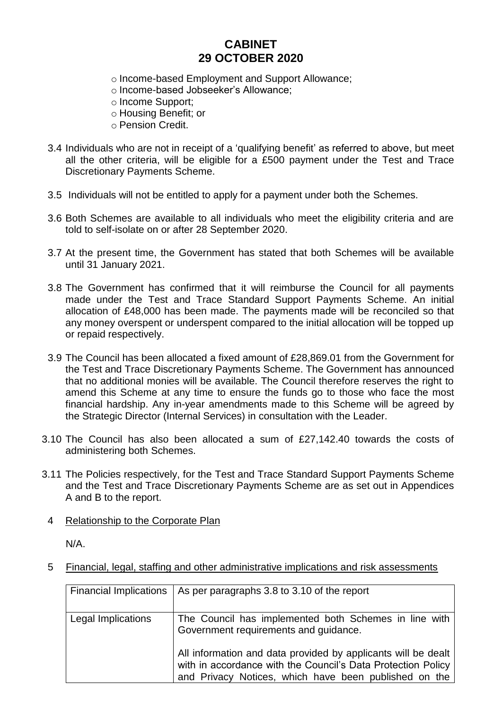### **CABINET 29 OCTOBER 2020**

- o Income-based Employment and Support Allowance;
- o Income-based Jobseeker's Allowance;
- o Income Support;
- o Housing Benefit; or
- o Pension Credit.
- 3.4 Individuals who are not in receipt of a 'qualifying benefit' as referred to above, but meet all the other criteria, will be eligible for a £500 payment under the Test and Trace Discretionary Payments Scheme.
- 3.5 Individuals will not be entitled to apply for a payment under both the Schemes.
- 3.6 Both Schemes are available to all individuals who meet the eligibility criteria and are told to self-isolate on or after 28 September 2020.
- 3.7 At the present time, the Government has stated that both Schemes will be available until 31 January 2021.
- 3.8 The Government has confirmed that it will reimburse the Council for all payments made under the Test and Trace Standard Support Payments Scheme. An initial allocation of £48,000 has been made. The payments made will be reconciled so that any money overspent or underspent compared to the initial allocation will be topped up or repaid respectively.
- 3.9 The Council has been allocated a fixed amount of £28,869.01 from the Government for the Test and Trace Discretionary Payments Scheme. The Government has announced that no additional monies will be available. The Council therefore reserves the right to amend this Scheme at any time to ensure the funds go to those who face the most financial hardship. Any in-year amendments made to this Scheme will be agreed by the Strategic Director (Internal Services) in consultation with the Leader.
- 3.10 The Council has also been allocated a sum of £27,142.40 towards the costs of administering both Schemes.
- 3.11 The Policies respectively, for the Test and Trace Standard Support Payments Scheme and the Test and Trace Discretionary Payments Scheme are as set out in Appendices A and B to the report.
	- 4 Relationship to the Corporate Plan

N/A.

5 Financial, legal, staffing and other administrative implications and risk assessments

| <b>Financial Implications</b> | As per paragraphs 3.8 to 3.10 of the report                                                                                                                                            |
|-------------------------------|----------------------------------------------------------------------------------------------------------------------------------------------------------------------------------------|
| Legal Implications            | The Council has implemented both Schemes in line with<br>Government requirements and guidance.                                                                                         |
|                               | All information and data provided by applicants will be dealt<br>with in accordance with the Council's Data Protection Policy<br>and Privacy Notices, which have been published on the |